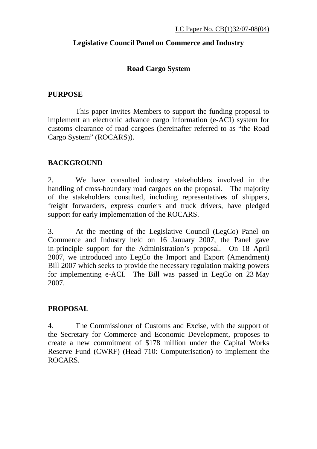## **Legislative Council Panel on Commerce and Industry**

#### **Road Cargo System**

#### **PURPOSE**

 This paper invites Members to support the funding proposal to implement an electronic advance cargo information (e-ACI) system for customs clearance of road cargoes (hereinafter referred to as "the Road Cargo System" (ROCARS)).

## **BACKGROUND**

2. We have consulted industry stakeholders involved in the handling of cross-boundary road cargoes on the proposal. The majority of the stakeholders consulted, including representatives of shippers, freight forwarders, express couriers and truck drivers, have pledged support for early implementation of the ROCARS.

3. At the meeting of the Legislative Council (LegCo) Panel on Commerce and Industry held on 16 January 2007, the Panel gave in-principle support for the Administration's proposal. On 18 April 2007, we introduced into LegCo the Import and Export (Amendment) Bill 2007 which seeks to provide the necessary regulation making powers for implementing e-ACI. The Bill was passed in LegCo on 23 May 2007.

#### **PROPOSAL**

4. The Commissioner of Customs and Excise, with the support of the Secretary for Commerce and Economic Development, proposes to create a new commitment of \$178 million under the Capital Works Reserve Fund (CWRF) (Head 710: Computerisation) to implement the ROCARS.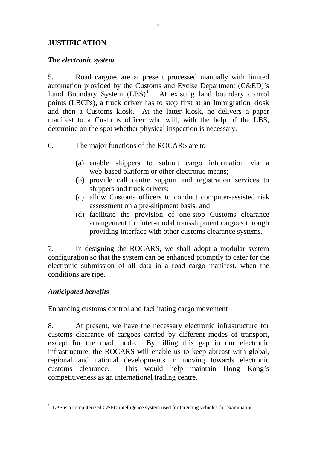#### **JUSTIFICATION**

#### *The electronic system*

5. Road cargoes are at present processed manually with limited automation provided by the Customs and Excise Department (C&ED)'s Land Boundary System  $(LBS)^1$  $(LBS)^1$ . At existing land boundary control points (LBCPs), a truck driver has to stop first at an Immigration kiosk and then a Customs kiosk. At the latter kiosk, he delivers a paper manifest to a Customs officer who will, with the help of the LBS, determine on the spot whether physical inspection is necessary.

## 6. The major functions of the ROCARS are to –

- (a) enable shippers to submit cargo information via a web-based platform or other electronic means;
- (b) provide call centre support and registration services to shippers and truck drivers;
- (c) allow Customs officers to conduct computer-assisted risk assessment on a pre-shipment basis; and
- (d) facilitate the provision of one-stop Customs clearance arrangement for inter-modal transshipment cargoes through providing interface with other customs clearance systems.

7. In designing the ROCARS, we shall adopt a modular system configuration so that the system can be enhanced promptly to cater for the electronic submission of all data in a road cargo manifest, when the conditions are ripe.

## *Anticipated benefits*

#### Enhancing customs control and facilitating cargo movement

8. At present, we have the necessary electronic infrastructure for customs clearance of cargoes carried by different modes of transport, except for the road mode. By filling this gap in our electronic infrastructure, the ROCARS will enable us to keep abreast with global, regional and national developments in moving towards electronic customs clearance. This would help maintain Hong Kong's competitiveness as an international trading centre.

<span id="page-1-0"></span> $\overline{a}$  $1$  LBS is a computerized C&ED intelligence system used for targeting vehicles for examination.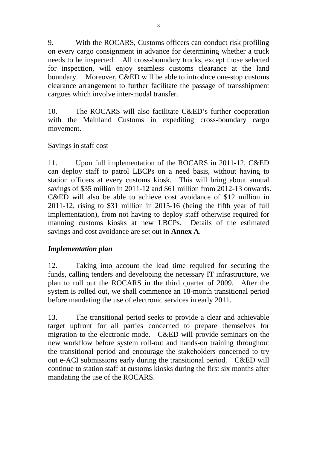9. With the ROCARS, Customs officers can conduct risk profiling on every cargo consignment in advance for determining whether a truck needs to be inspected. All cross-boundary trucks, except those selected for inspection, will enjoy seamless customs clearance at the land boundary. Moreover, C&ED will be able to introduce one-stop customs clearance arrangement to further facilitate the passage of transshipment cargoes which involve inter-modal transfer.

10. The ROCARS will also facilitate C&ED's further cooperation with the Mainland Customs in expediting cross-boundary cargo movement.

#### Savings in staff cost

11. Upon full implementation of the ROCARS in 2011-12, C&ED can deploy staff to patrol LBCPs on a need basis, without having to station officers at every customs kiosk. This will bring about annual savings of \$35 million in 2011-12 and \$61 million from 2012-13 onwards. C&ED will also be able to achieve cost avoidance of \$12 million in 2011-12, rising to \$31 million in 2015-16 (being the fifth year of full implementation), from not having to deploy staff otherwise required for manning customs kiosks at new LBCPs. Details of the estimated savings and cost avoidance are set out in **Annex A**.

#### *Implementation plan*

12. Taking into account the lead time required for securing the funds, calling tenders and developing the necessary IT infrastructure, we plan to roll out the ROCARS in the third quarter of 2009. After the system is rolled out, we shall commence an 18-month transitional period before mandating the use of electronic services in early 2011.

13. The transitional period seeks to provide a clear and achievable target upfront for all parties concerned to prepare themselves for migration to the electronic mode. C&ED will provide seminars on the new workflow before system roll-out and hands-on training throughout the transitional period and encourage the stakeholders concerned to try out e-ACI submissions early during the transitional period. C&ED will continue to station staff at customs kiosks during the first six months after mandating the use of the ROCARS.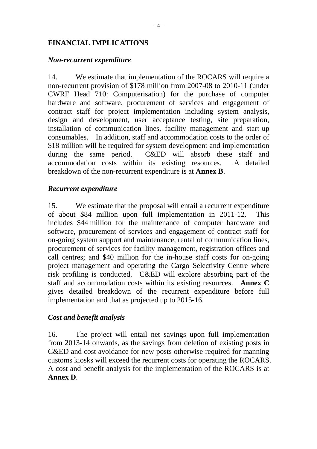#### **FINANCIAL IMPLICATIONS**

#### *Non-recurrent expenditure*

14. We estimate that implementation of the ROCARS will require a non-recurrent provision of \$178 million from 2007-08 to 2010-11 (under CWRF Head 710: Computerisation) for the purchase of computer hardware and software, procurement of services and engagement of contract staff for project implementation including system analysis, design and development, user acceptance testing, site preparation, installation of communication lines, facility management and start-up consumables. In addition, staff and accommodation costs to the order of \$18 million will be required for system development and implementation during the same period. C&ED will absorb these staff and accommodation costs within its existing resources. A detailed breakdown of the non-recurrent expenditure is at **Annex B**.

#### *Recurrent expenditure*

15. We estimate that the proposal will entail a recurrent expenditure of about \$84 million upon full implementation in 2011-12. This includes \$44 million for the maintenance of computer hardware and software, procurement of services and engagement of contract staff for on-going system support and maintenance, rental of communication lines, procurement of services for facility management, registration offices and call centres; and \$40 million for the in-house staff costs for on-going project management and operating the Cargo Selectivity Centre where risk profiling is conducted. C&ED will explore absorbing part of the staff and accommodation costs within its existing resources. **Annex C** gives detailed breakdown of the recurrent expenditure before full implementation and that as projected up to 2015-16.

#### *Cost and benefit analysis*

16. The project will entail net savings upon full implementation from 2013-14 onwards, as the savings from deletion of existing posts in C&ED and cost avoidance for new posts otherwise required for manning customs kiosks will exceed the recurrent costs for operating the ROCARS. A cost and benefit analysis for the implementation of the ROCARS is at **Annex D**.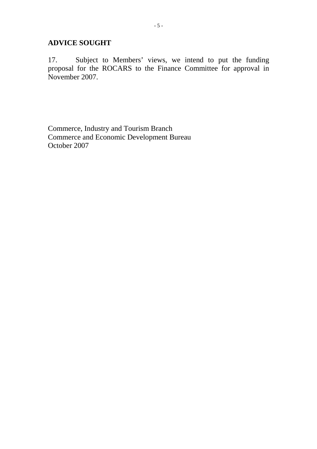#### **ADVICE SOUGHT**

17. Subject to Members' views, we intend to put the funding proposal for the ROCARS to the Finance Committee for approval in November 2007.

Commerce, Industry and Tourism Branch Commerce and Economic Development Bureau October 2007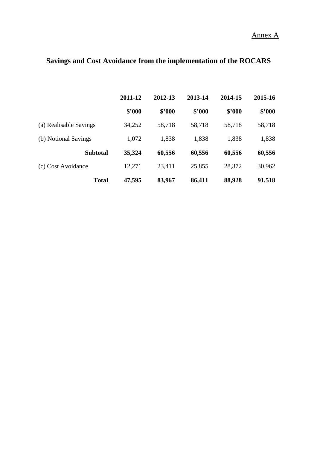Annex A

# **Savings and Cost Avoidance from the implementation of the ROCARS**

|                        | 2011-12 | 2012-13 | 2013-14 | 2014-15 | 2015-16 |
|------------------------|---------|---------|---------|---------|---------|
|                        | \$'000  | \$2000  | \$2000  | \$2000  | \$2000  |
| (a) Realisable Savings | 34,252  | 58,718  | 58,718  | 58,718  | 58,718  |
| (b) Notional Savings   | 1,072   | 1,838   | 1,838   | 1,838   | 1,838   |
| <b>Subtotal</b>        | 35,324  | 60,556  | 60,556  | 60,556  | 60,556  |
| (c) Cost Avoidance     | 12,271  | 23,411  | 25,855  | 28,372  | 30,962  |
| <b>Total</b>           | 47,595  | 83,967  | 86,411  | 88,928  | 91,518  |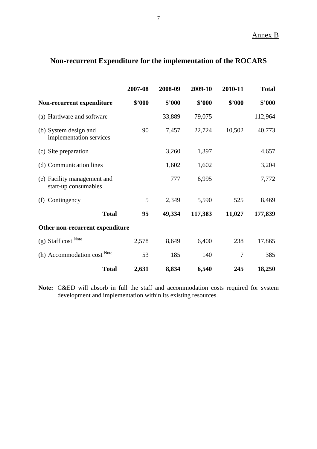## **Non-recurrent Expenditure for the implementation of the ROCARS**

|                                                     |              | 2007-08 | 2008-09 | 2009-10 | 2010-11 | <b>Total</b> |
|-----------------------------------------------------|--------------|---------|---------|---------|---------|--------------|
| Non-recurrent expenditure                           |              | \$'000  | \$'000  | \$'000  | \$2000  | \$2000       |
| (a) Hardware and software                           |              |         | 33,889  | 79,075  |         | 112,964      |
| (b) System design and<br>implementation services    |              | 90      | 7,457   | 22,724  | 10,502  | 40,773       |
| (c) Site preparation                                |              |         | 3,260   | 1,397   |         | 4,657        |
| (d) Communication lines                             |              |         | 1,602   | 1,602   |         | 3,204        |
| (e) Facility management and<br>start-up consumables |              |         | 777     | 6,995   |         | 7,772        |
| Contingency<br>(f)                                  |              | 5       | 2,349   | 5,590   | 525     | 8,469        |
|                                                     | <b>Total</b> | 95      | 49,334  | 117,383 | 11,027  | 177,839      |
| Other non-recurrent expenditure                     |              |         |         |         |         |              |
| $(g)$ Staff cost Note                               |              | 2,578   | 8,649   | 6,400   | 238     | 17,865       |
| (h) Accommodation cost Note                         |              | 53      | 185     | 140     | $\tau$  | 385          |
|                                                     | <b>Total</b> | 2,631   | 8,834   | 6,540   | 245     | 18,250       |

**Note:** C&ED will absorb in full the staff and accommodation costs required for system development and implementation within its existing resources.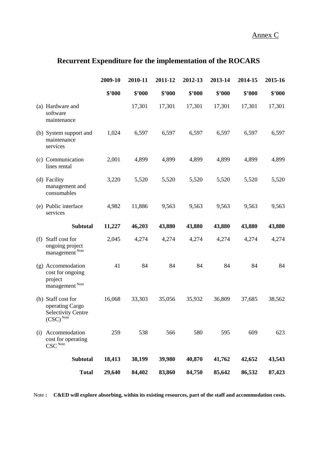Annex C

## **Recurrent Expenditure for the implementation of the ROCARS**

|     |                                                                                       | 2009-10 | 2010-11 | 2011-12 | 2012-13 | 2013-14 | 2014-15 | 2015-16 |
|-----|---------------------------------------------------------------------------------------|---------|---------|---------|---------|---------|---------|---------|
|     |                                                                                       | \$'000  | \$'000  | \$'000  | \$'000  | \$'000  | \$'000  | \$'000  |
|     | (a) Hardware and<br>software<br>maintenance                                           |         | 17,301  | 17,301  | 17,301  | 17,301  | 17,301  | 17,301  |
|     | (b) System support and<br>maintenance<br>services                                     | 1,024   | 6,597   | 6,597   | 6,597   | 6,597   | 6,597   | 6,597   |
|     | (c) Communication<br>lines rental                                                     | 2,001   | 4,899   | 4,899   | 4,899   | 4,899   | 4,899   | 4,899   |
|     | (d) Facility<br>management and<br>consumables                                         | 3,220   | 5,520   | 5,520   | 5,520   | 5,520   | 5,520   | 5,520   |
|     | (e) Public interface<br>services                                                      | 4,982   | 11,886  | 9,563   | 9,563   | 9,563   | 9,563   | 9,563   |
|     | <b>Subtotal</b>                                                                       | 11,227  | 46,203  | 43,880  | 43,880  | 43,880  | 43,880  | 43,880  |
| (f) | Staff cost for<br>ongoing project<br>management Note                                  | 2,045   | 4,274   | 4,274   | 4,274   | 4,274   | 4,274   | 4,274   |
|     | (g) Accommodation<br>cost for ongoing<br>project<br>management $^{\hbox{\tiny Note}}$ | 41      | 84      | 84      | 84      | 84      | 84      | 84      |
|     | (h) Staff cost for<br>operating Cargo<br><b>Selectivity Centre</b><br>$(CSC)^{Note}$  | 16,068  | 33,303  | 35,056  | 35,932  | 36,809  | 37,685  | 38,562  |
| (i) | Accommodation<br>cost for operating<br>$\mathbf{CSC}^{\mathbf{Note}}$                 | 259     | 538     | 566     | 580     | 595     | 609     | 623     |
|     | <b>Subtotal</b>                                                                       | 18,413  | 38,199  | 39,980  | 40,870  | 41,762  | 42,652  | 43,543  |
|     | <b>Total</b>                                                                          | 29,640  | 84,402  | 83,860  | 84,750  | 85,642  | 86,532  | 87,423  |

Note : C&ED will explore absorbing, within its existing resources, part of the staff and accommodation costs.